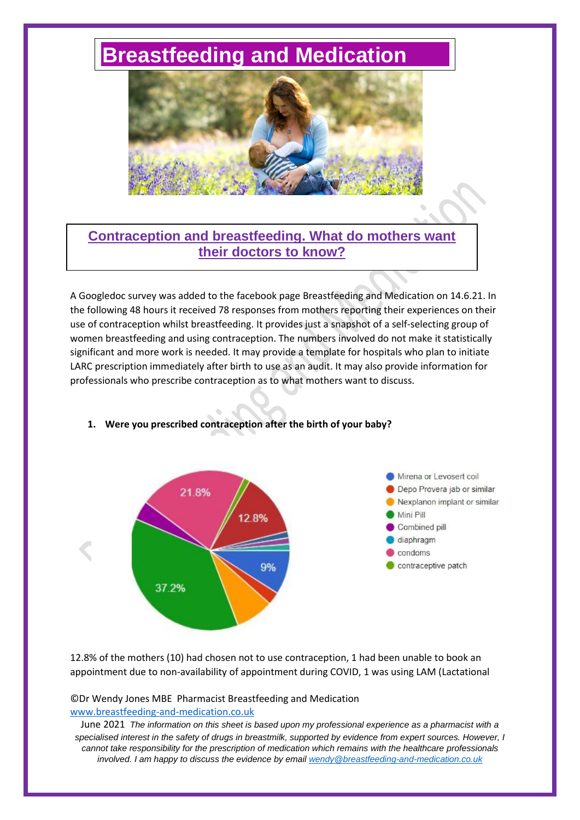# **[Breastfeeding and Medication](http://www.breastfeeding-and-medication.co.uk/)**



# **Contraception and breastfeeding. What do mothers want their doctors to know?**

A Googledoc survey was added to the facebook page Breastfeeding and Medication on 14.6.21. In the following 48 hours it received 78 responses from mothers reporting their experiences on their use of contraception whilst breastfeeding. It provides just a snapshot of a self-selecting group of women breastfeeding and using contraception. The numbers involved do not make it statistically significant and more work is needed. It may provide a template for hospitals who plan to initiate LARC prescription immediately after birth to use as an audit. It may also provide information for professionals who prescribe contraception as to what mothers want to discuss.



# **1. Were you prescribed contraception after the birth of your baby?**

12.8% of the mothers (10) had chosen not to use contraception, 1 had been unable to book an appointment due to non-availability of appointment during COVID, 1 was using LAM (Lactational

#### ©Dr Wendy Jones MBE Pharmacist Breastfeeding and Medication [www.breastfeeding-and-medication.co.uk](http://www.breastfeeding-and-medication.co.uk/)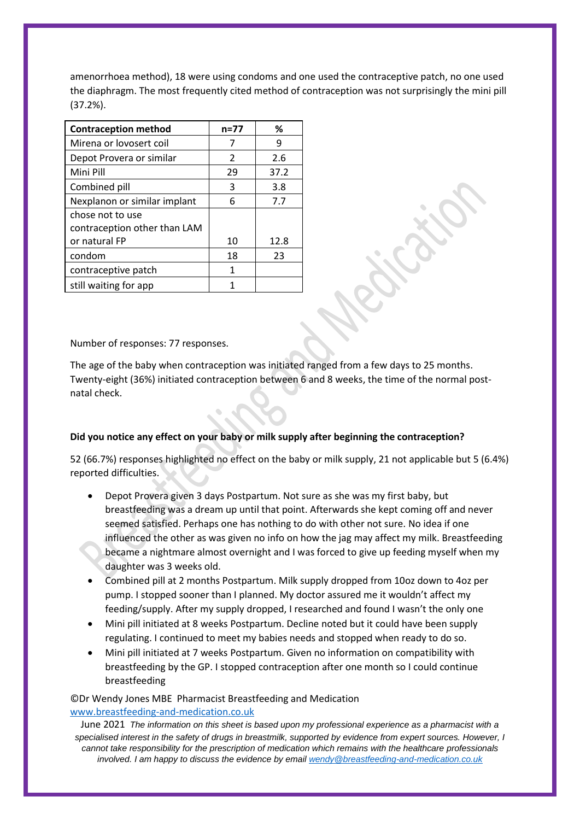amenorrhoea method), 18 were using condoms and one used the contraceptive patch, no one used the diaphragm. The most frequently cited method of contraception was not surprisingly the mini pill (37.2%).

| <b>Contraception method</b>  | $n = 77$      | ℅    |
|------------------------------|---------------|------|
| Mirena or lovosert coil      | 7             | 9    |
| Depot Provera or similar     | $\mathcal{P}$ | 2.6  |
| Mini Pill                    | 29            | 37.2 |
| Combined pill                | 3             | 3.8  |
| Nexplanon or similar implant | 6             | 7.7  |
| chose not to use             |               |      |
| contraception other than LAM |               |      |
| or natural FP                | 10            | 12.8 |
| condom                       | 18            | 23   |
| contraceptive patch          | 1             |      |
| still waiting for app        |               |      |

Number of responses: 77 responses.

The age of the baby when contraception was initiated ranged from a few days to 25 months. Twenty-eight (36%) initiated contraception between 6 and 8 weeks, the time of the normal postnatal check.

#### **Did you notice any effect on your baby or milk supply after beginning the contraception?**

52 (66.7%) responses highlighted no effect on the baby or milk supply, 21 not applicable but 5 (6.4%) reported difficulties.

- Depot Provera given 3 days Postpartum. Not sure as she was my first baby, but breastfeeding was a dream up until that point. Afterwards she kept coming off and never seemed satisfied. Perhaps one has nothing to do with other not sure. No idea if one influenced the other as was given no info on how the jag may affect my milk. Breastfeeding became a nightmare almost overnight and I was forced to give up feeding myself when my daughter was 3 weeks old.
- Combined pill at 2 months Postpartum. Milk supply dropped from 10oz down to 4oz per pump. I stopped sooner than I planned. My doctor assured me it wouldn't affect my feeding/supply. After my supply dropped, I researched and found I wasn't the only one
- Mini pill initiated at 8 weeks Postpartum. Decline noted but it could have been supply regulating. I continued to meet my babies needs and stopped when ready to do so.
- Mini pill initiated at 7 weeks Postpartum. Given no information on compatibility with breastfeeding by the GP. I stopped contraception after one month so I could continue breastfeeding

©Dr Wendy Jones MBE Pharmacist Breastfeeding and Medication [www.breastfeeding-and-medication.co.uk](http://www.breastfeeding-and-medication.co.uk/)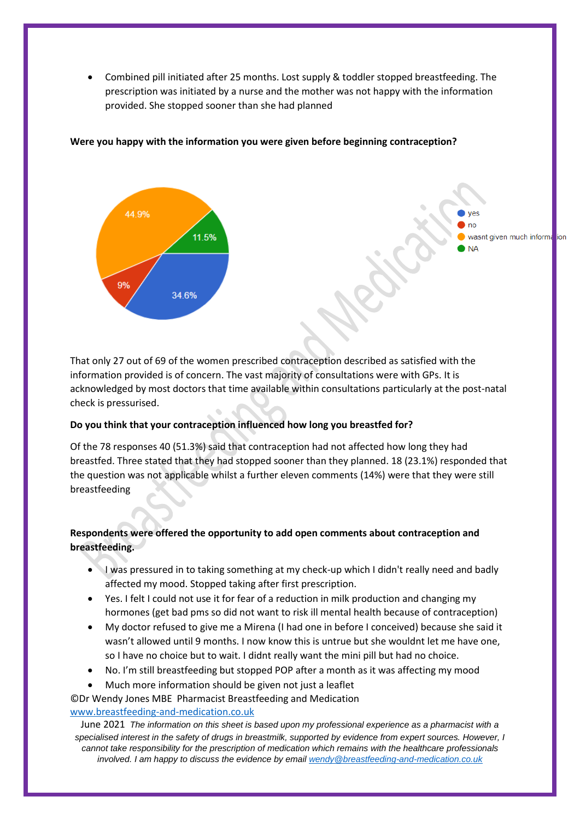• Combined pill initiated after 25 months. Lost supply & toddler stopped breastfeeding. The prescription was initiated by a nurse and the mother was not happy with the information provided. She stopped sooner than she had planned



### **Were you happy with the information you were given before beginning contraception?**

That only 27 out of 69 of the women prescribed contraception described as satisfied with the information provided is of concern. The vast majority of consultations were with GPs. It is acknowledged by most doctors that time available within consultations particularly at the post-natal check is pressurised.

#### **Do you think that your contraception influenced how long you breastfed for?**

Of the 78 responses 40 (51.3%) said that contraception had not affected how long they had breastfed. Three stated that they had stopped sooner than they planned. 18 (23.1%) responded that the question was not applicable whilst a further eleven comments (14%) were that they were still breastfeeding

# **Respondents were offered the opportunity to add open comments about contraception and breastfeeding.**

- I was pressured in to taking something at my check-up which I didn't really need and badly affected my mood. Stopped taking after first prescription.
- Yes. I felt I could not use it for fear of a reduction in milk production and changing my hormones (get bad pms so did not want to risk ill mental health because of contraception)
- My doctor refused to give me a Mirena (I had one in before I conceived) because she said it wasn't allowed until 9 months. I now know this is untrue but she wouldnt let me have one, so I have no choice but to wait. I didnt really want the mini pill but had no choice.
- No. I'm still breastfeeding but stopped POP after a month as it was affecting my mood
- Much more information should be given not just a leaflet

©Dr Wendy Jones MBE Pharmacist Breastfeeding and Medication

## [www.breastfeeding-and-medication.co.uk](http://www.breastfeeding-and-medication.co.uk/)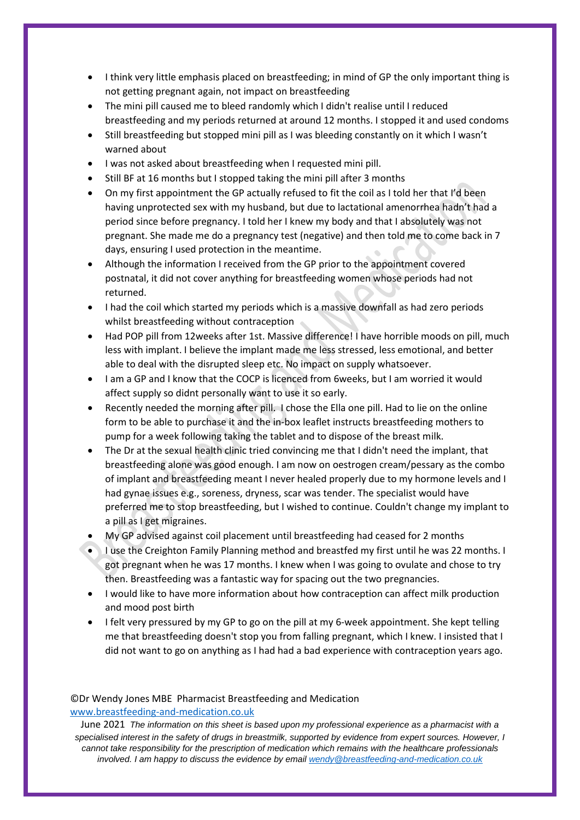- I think very little emphasis placed on breastfeeding; in mind of GP the only important thing is not getting pregnant again, not impact on breastfeeding
- The mini pill caused me to bleed randomly which I didn't realise until I reduced breastfeeding and my periods returned at around 12 months. I stopped it and used condoms
- Still breastfeeding but stopped mini pill as I was bleeding constantly on it which I wasn't warned about
- I was not asked about breastfeeding when I requested mini pill.
- Still BF at 16 months but I stopped taking the mini pill after 3 months
- On my first appointment the GP actually refused to fit the coil as I told her that I'd been having unprotected sex with my husband, but due to lactational amenorrhea hadn't had a period since before pregnancy. I told her I knew my body and that I absolutely was not pregnant. She made me do a pregnancy test (negative) and then told me to come back in 7 days, ensuring I used protection in the meantime.
- Although the information I received from the GP prior to the appointment covered postnatal, it did not cover anything for breastfeeding women whose periods had not returned.
- I had the coil which started my periods which is a massive downfall as had zero periods whilst breastfeeding without contraception
- Had POP pill from 12weeks after 1st. Massive difference! I have horrible moods on pill, much less with implant. I believe the implant made me less stressed, less emotional, and better able to deal with the disrupted sleep etc. No impact on supply whatsoever.
- I am a GP and I know that the COCP is licenced from 6weeks, but I am worried it would affect supply so didnt personally want to use it so early.
- Recently needed the morning after pill. I chose the Ella one pill. Had to lie on the online form to be able to purchase it and the in-box leaflet instructs breastfeeding mothers to pump for a week following taking the tablet and to dispose of the breast milk.
- The Dr at the sexual health clinic tried convincing me that I didn't need the implant, that breastfeeding alone was good enough. I am now on oestrogen cream/pessary as the combo of implant and breastfeeding meant I never healed properly due to my hormone levels and I had gynae issues e.g., soreness, dryness, scar was tender. The specialist would have preferred me to stop breastfeeding, but I wished to continue. Couldn't change my implant to a pill as I get migraines.
- My GP advised against coil placement until breastfeeding had ceased for 2 months
- I use the Creighton Family Planning method and breastfed my first until he was 22 months. I got pregnant when he was 17 months. I knew when I was going to ovulate and chose to try then. Breastfeeding was a fantastic way for spacing out the two pregnancies.
- I would like to have more information about how contraception can affect milk production and mood post birth
- I felt very pressured by my GP to go on the pill at my 6-week appointment. She kept telling me that breastfeeding doesn't stop you from falling pregnant, which I knew. I insisted that I did not want to go on anything as I had had a bad experience with contraception years ago.

#### ©Dr Wendy Jones MBE Pharmacist Breastfeeding and Medication [www.breastfeeding-and-medication.co.uk](http://www.breastfeeding-and-medication.co.uk/)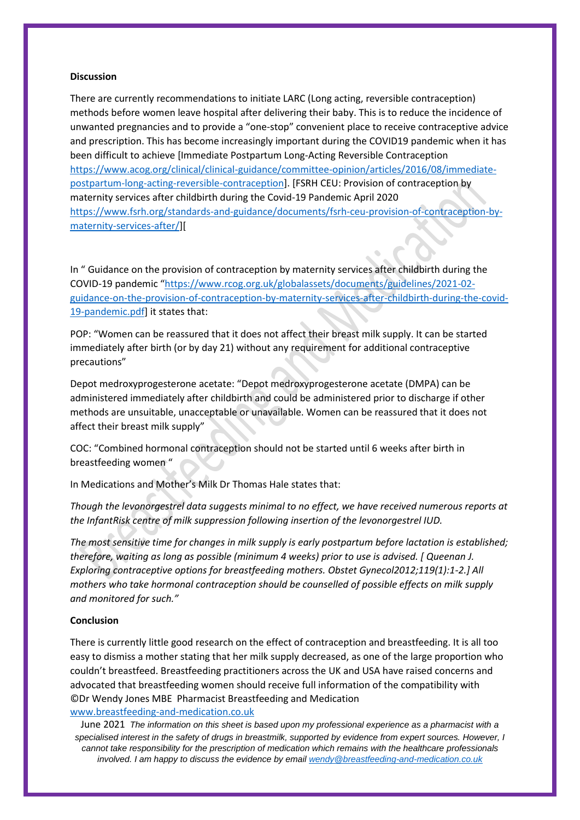#### **Discussion**

There are currently recommendations to initiate LARC (Long acting, reversible contraception) methods before women leave hospital after delivering their baby. This is to reduce the incidence of unwanted pregnancies and to provide a "one-stop" convenient place to receive contraceptive advice and prescription. This has become increasingly important during the COVID19 pandemic when it has been difficult to achieve [Immediate Postpartum Long-Acting Reversible Contraception [https://www.acog.org/clinical/clinical-guidance/committee-opinion/articles/2016/08/immediate](https://www.acog.org/clinical/clinical-guidance/committee-opinion/articles/2016/08/immediate-postpartum-long-acting-reversible-contraception)[postpartum-long-acting-reversible-contraception\]](https://www.acog.org/clinical/clinical-guidance/committee-opinion/articles/2016/08/immediate-postpartum-long-acting-reversible-contraception). [FSRH CEU: Provision of contraception by maternity services after childbirth during the Covid-19 Pandemic April 2020 [https://www.fsrh.org/standards-and-guidance/documents/fsrh-ceu-provision-of-contraception-by](https://www.fsrh.org/standards-and-guidance/documents/fsrh-ceu-provision-of-contraception-by-maternity-services-after/)[maternity-services-after/\]](https://www.fsrh.org/standards-and-guidance/documents/fsrh-ceu-provision-of-contraception-by-maternity-services-after/)[

In " Guidance on the provision of contraception by maternity services after childbirth during the COVID-19 pandemic "[https://www.rcog.org.uk/globalassets/documents/guidelines/2021-02](https://www.rcog.org.uk/globalassets/documents/guidelines/2021-02-guidance-on-the-provision-of-contraception-by-maternity-services-after-childbirth-during-the-covid-19-pandemic.pdf) [guidance-on-the-provision-of-contraception-by-maternity-services-after-childbirth-during-the-covid-](https://www.rcog.org.uk/globalassets/documents/guidelines/2021-02-guidance-on-the-provision-of-contraception-by-maternity-services-after-childbirth-during-the-covid-19-pandemic.pdf)[19-pandemic.pdf\]](https://www.rcog.org.uk/globalassets/documents/guidelines/2021-02-guidance-on-the-provision-of-contraception-by-maternity-services-after-childbirth-during-the-covid-19-pandemic.pdf) it states that:

POP: "Women can be reassured that it does not affect their breast milk supply. It can be started immediately after birth (or by day 21) without any requirement for additional contraceptive precautions"

Depot medroxyprogesterone acetate: "Depot medroxyprogesterone acetate (DMPA) can be administered immediately after childbirth and could be administered prior to discharge if other methods are unsuitable, unacceptable or unavailable. Women can be reassured that it does not affect their breast milk supply"

COC: "Combined hormonal contraception should not be started until 6 weeks after birth in breastfeeding women "

In Medications and Mother's Milk Dr Thomas Hale states that:

*Though the levonorgestrel data suggests minimal to no effect, we have received numerous reports at the InfantRisk centre of milk suppression following insertion of the levonorgestrel IUD.*

*The most sensitive time for changes in milk supply is early postpartum before lactation is established; therefore, waiting as long as possible (minimum 4 weeks) prior to use is advised. [ Queenan J. Exploring contraceptive options for breastfeeding mothers. Obstet Gynecol2012;119(1):1-2.] All mothers who take hormonal contraception should be counselled of possible effects on milk supply and monitored for such."*

#### **Conclusion**

©Dr Wendy Jones MBE Pharmacist Breastfeeding and Medication [www.breastfeeding-and-medication.co.uk](http://www.breastfeeding-and-medication.co.uk/) There is currently little good research on the effect of contraception and breastfeeding. It is all too easy to dismiss a mother stating that her milk supply decreased, as one of the large proportion who couldn't breastfeed. Breastfeeding practitioners across the UK and USA have raised concerns and advocated that breastfeeding women should receive full information of the compatibility with